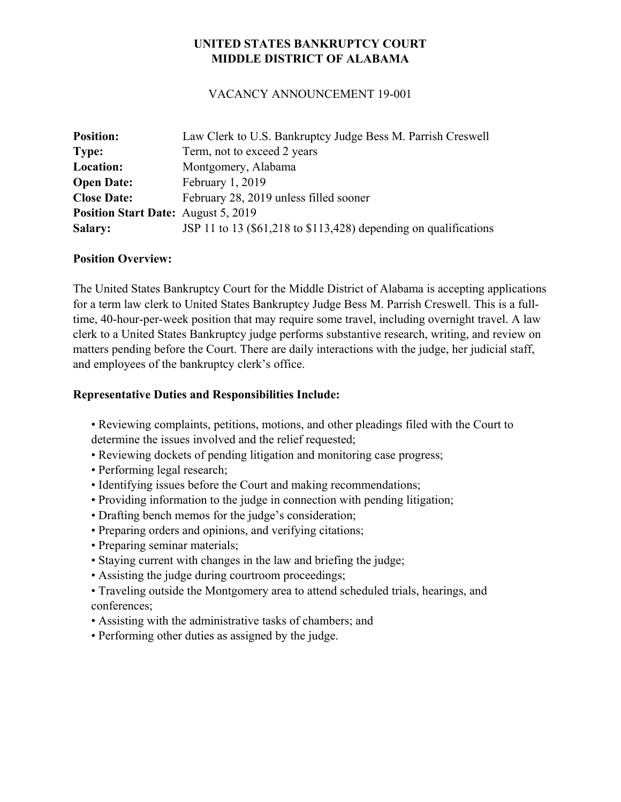# **UNITED STATES BANKRUPTCY COURT MIDDLE DISTRICT OF ALABAMA**

### VACANCY ANNOUNCEMENT 19-001

| <b>Position:</b>                           | Law Clerk to U.S. Bankruptcy Judge Bess M. Parrish Creswell      |
|--------------------------------------------|------------------------------------------------------------------|
| <b>Type:</b>                               | Term, not to exceed 2 years                                      |
| Location:                                  | Montgomery, Alabama                                              |
| <b>Open Date:</b>                          | February 1, 2019                                                 |
| <b>Close Date:</b>                         | February 28, 2019 unless filled sooner                           |
| <b>Position Start Date:</b> August 5, 2019 |                                                                  |
| <b>Salary:</b>                             | JSP 11 to 13 (\$61,218 to \$113,428) depending on qualifications |

### **Position Overview:**

The United States Bankruptcy Court for the Middle District of Alabama is accepting applications for a term law clerk to United States Bankruptcy Judge Bess M. Parrish Creswell. This is a fulltime, 40-hour-per-week position that may require some travel, including overnight travel. A law clerk to a United States Bankruptcy judge performs substantive research, writing, and review on matters pending before the Court. There are daily interactions with the judge, her judicial staff, and employees of the bankruptcy clerk's office.

#### **Representative Duties and Responsibilities Include:**

- Reviewing complaints, petitions, motions, and other pleadings filed with the Court to determine the issues involved and the relief requested;
- Reviewing dockets of pending litigation and monitoring case progress;
- Performing legal research;
- Identifying issues before the Court and making recommendations;
- Providing information to the judge in connection with pending litigation;
- Drafting bench memos for the judge's consideration;
- Preparing orders and opinions, and verifying citations;
- Preparing seminar materials;
- Staying current with changes in the law and briefing the judge;
- Assisting the judge during courtroom proceedings;
- Traveling outside the Montgomery area to attend scheduled trials, hearings, and conferences;
- Assisting with the administrative tasks of chambers; and
- Performing other duties as assigned by the judge.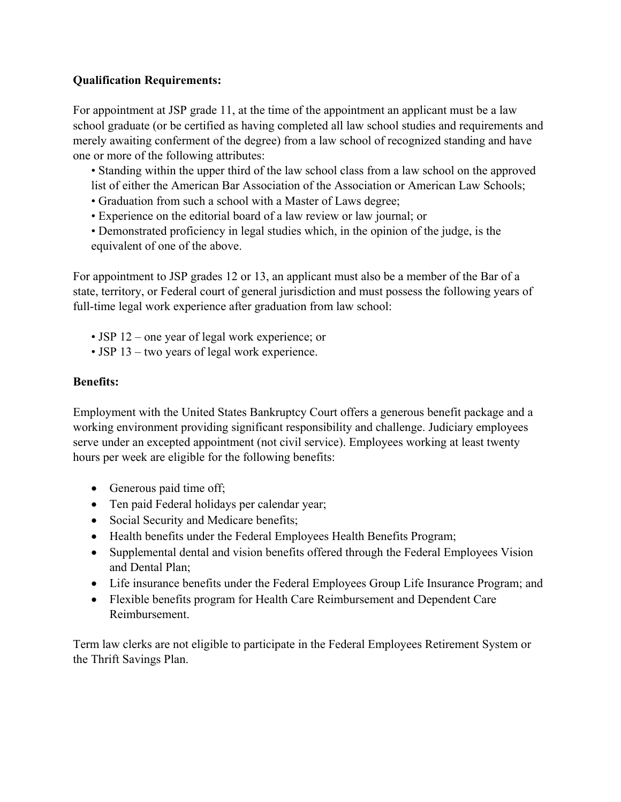## **Qualification Requirements:**

For appointment at JSP grade 11, at the time of the appointment an applicant must be a law school graduate (or be certified as having completed all law school studies and requirements and merely awaiting conferment of the degree) from a law school of recognized standing and have one or more of the following attributes:

• Standing within the upper third of the law school class from a law school on the approved list of either the American Bar Association of the Association or American Law Schools;

- Graduation from such a school with a Master of Laws degree;
- Experience on the editorial board of a law review or law journal; or
- Demonstrated proficiency in legal studies which, in the opinion of the judge, is the equivalent of one of the above.

For appointment to JSP grades 12 or 13, an applicant must also be a member of the Bar of a state, territory, or Federal court of general jurisdiction and must possess the following years of full-time legal work experience after graduation from law school:

- JSP 12 one year of legal work experience; or
- JSP 13 two years of legal work experience.

### **Benefits:**

Employment with the United States Bankruptcy Court offers a generous benefit package and a working environment providing significant responsibility and challenge. Judiciary employees serve under an excepted appointment (not civil service). Employees working at least twenty hours per week are eligible for the following benefits:

- Generous paid time off;
- Ten paid Federal holidays per calendar year;
- Social Security and Medicare benefits;
- Health benefits under the Federal Employees Health Benefits Program;
- Supplemental dental and vision benefits offered through the Federal Employees Vision and Dental Plan;
- Life insurance benefits under the Federal Employees Group Life Insurance Program; and
- Flexible benefits program for Health Care Reimbursement and Dependent Care Reimbursement.

Term law clerks are not eligible to participate in the Federal Employees Retirement System or the Thrift Savings Plan.